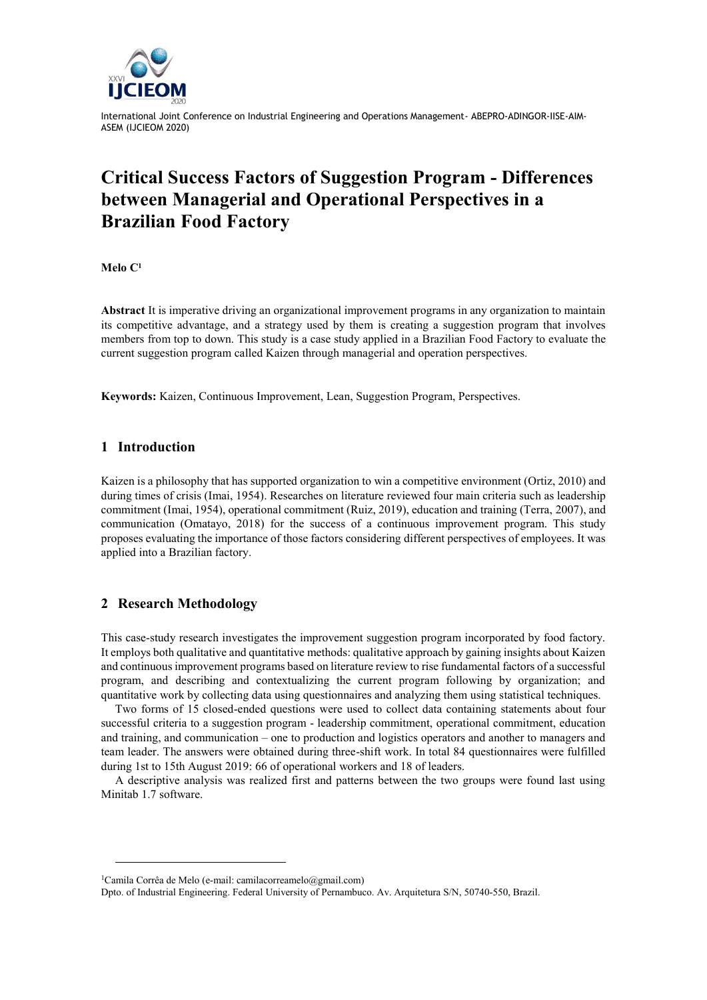

International Joint Conference on Industrial Engineering and Operations Management- ABEPRO-ADINGOR-IISE-AIM-ASEM (IJCIEOM 2020)

# **Critical Success Factors of Suggestion Program - Differences between Managerial and Operational Perspectives in a Brazilian Food Factory**

**Melo C<sup>1</sup>**

**Abstract** It is imperative driving an organizational improvement programs in any organization to maintain its competitive advantage, and a strategy used by them is creating a suggestion program that involves members from top to down. This study is a case study applied in a Brazilian Food Factory to evaluate the current suggestion program called Kaizen through managerial and operation perspectives.

**Keywords:** Kaizen, Continuous Improvement, Lean, Suggestion Program, Perspectives.

### **1 Introduction**

Kaizen is a philosophy that has supported organization to win a competitive environment (Ortiz, 2010) and during times of crisis (Imai, 1954). Researches on literature reviewed four main criteria such as leadership commitment (Imai, 1954), operational commitment (Ruiz, 2019), education and training (Terra, 2007), and communication (Omatayo, 2018) for the success of a continuous improvement program. This study proposes evaluating the importance of those factors considering different perspectives of employees. It was applied into a Brazilian factory.

#### **2 Research Methodology**

l

This case-study research investigates the improvement suggestion program incorporated by food factory. It employs both qualitative and quantitative methods: qualitative approach by gaining insights about Kaizen and continuous improvement programs based on literature review to rise fundamental factors of a successful program, and describing and contextualizing the current program following by organization; and quantitative work by collecting data using questionnaires and analyzing them using statistical techniques.

Two forms of 15 closed-ended questions were used to collect data containing statements about four successful criteria to a suggestion program - leadership commitment, operational commitment, education and training, and communication – one to production and logistics operators and another to managers and team leader. The answers were obtained during three-shift work. In total 84 questionnaires were fulfilled during 1st to 15th August 2019: 66 of operational workers and 18 of leaders.

A descriptive analysis was realized first and patterns between the two groups were found last using Minitab 1.7 software.

<sup>&</sup>lt;sup>1</sup>Camila Corrêa de Melo (e-mail: camilacorreamelo@gmail.com)

Dpto. of Industrial Engineering. Federal University of Pernambuco. Av. Arquitetura S/N, 50740-550, Brazil.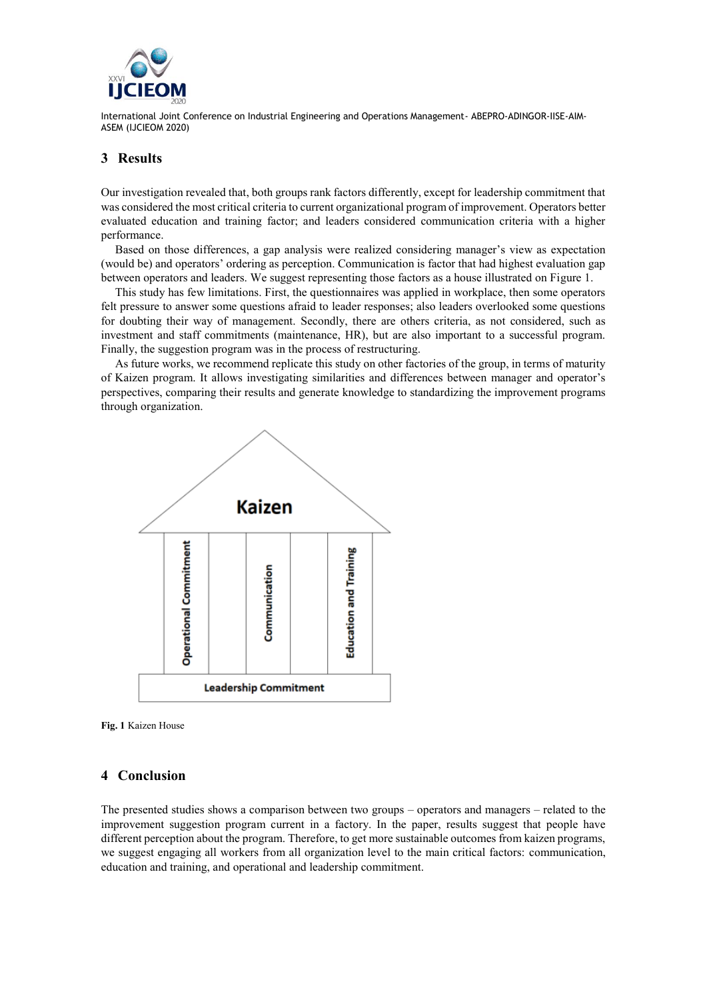

International Joint Conference on Industrial Engineering and Operations Management- ABEPRO-ADINGOR-IISE-AIM-ASEM (IJCIEOM 2020)

## **3 Results**

Our investigation revealed that, both groups rank factors differently, except for leadership commitment that was considered the most critical criteria to current organizational program of improvement. Operators better evaluated education and training factor; and leaders considered communication criteria with a higher performance.

Based on those differences, a gap analysis were realized considering manager's view as expectation (would be) and operators' ordering as perception. Communication is factor that had highest evaluation gap between operators and leaders. We suggest representing those factors as a house illustrated on Figure 1.

This study has few limitations. First, the questionnaires was applied in workplace, then some operators felt pressure to answer some questions afraid to leader responses; also leaders overlooked some questions for doubting their way of management. Secondly, there are others criteria, as not considered, such as investment and staff commitments (maintenance, HR), but are also important to a successful program. Finally, the suggestion program was in the process of restructuring.

As future works, we recommend replicate this study on other factories of the group, in terms of maturity of Kaizen program. It allows investigating similarities and differences between manager and operator's perspectives, comparing their results and generate knowledge to standardizing the improvement programs through organization.





#### **4 Conclusion**

The presented studies shows a comparison between two groups – operators and managers – related to the improvement suggestion program current in a factory. In the paper, results suggest that people have different perception about the program. Therefore, to get more sustainable outcomes from kaizen programs, we suggest engaging all workers from all organization level to the main critical factors: communication, education and training, and operational and leadership commitment.